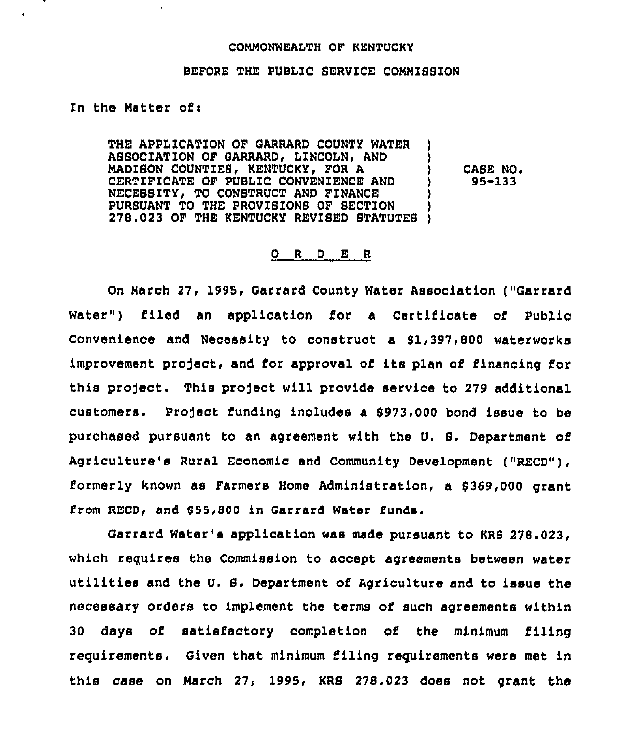## COHMONWEALTH OF KENTUCKY

## BEFORE THE PUBLIC SERVICE COMMISSION

In the Matter of:

 $\bullet$ 

THE APPLICATION OF GARRARD COUNTY WATER ) ASSOCIATION OF GARRARD, LINCOLN, AND MADISON COUNTIES, KENTUCKY, FOR A CERTIFICATE OF PUBLIC CONVENIENCE AND NECESSITY, TO CONSTRUCT AND FINANCE PURSUANT TO THE PROVISIONS OF SECTION 278.023 OF THE KENTUCKY REVISED STATUTES )

CASE NO. 95-133

## 0 <sup>R</sup> <sup>D</sup> E <sup>R</sup>

On Harch 27, 1995, Garrard County Water Association ("Garrard Water") filed an application for a Certificate of Public Convenience and Necessity to construct a 51,397,800 waterworks improvement project, and for approval of its plan of financing for this project. This project will provide service to 279 additional customers. Profect funding includes a 8973,000 bond issue to be purchased pursuant to an agreement with the U. 8. Department of Agriculture's Rural Economic and Community Development ("RECD"), formerly known as Farmers Home Administration, a 8369,000 grant from RECD, and \$55,800 in Garrard Water funds.

Garrard Water's application was made pursuant to KRS 278.023/ which requires the Commission to accept agreements between water utilities and the U. S. Department of Agriculture and to issue the necessary orders to implement the terms of such agreements within 30 days of satisfactory completion of the minimum filing requirements. Given that minimum filing requirements were met in this case on Harch 27, 1995, KRS 278.023 does not grant the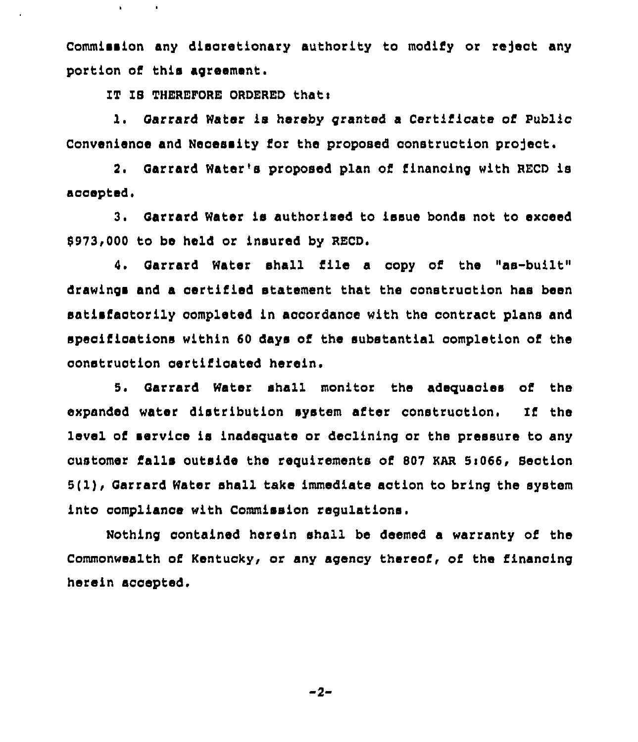Commission any discretionary authority to modify or reject any portion of this agreement.

IT IS THEREFORE ORDERED that:

 $\bullet$ 

<sup>1</sup> Oarrard Water is hereby granted a Certificate of Public Convenience and Necessity for the proposed construction project.

2. Oarrard Water's proposed plan of financing with RECD is accepted.

3. Garrard Water is authorized to issue bonds not to exceed 8973,000 to be held or insured by RECD.

4. Garrard Water shall file a copy of the "as-built" drawings and a certified statement that the construction has been satisfactorily completed in accordance with the contract plans and specifications within 60 days of the substantial completion of the construction certificated herein.

5. Oarrard Water shall monitor the adequacies of the expanded water distribution system after construction. If the level of service is inadequate or declining or the pressure to any customer falls outside the requirements of 807 KAR 5:066, Section 5(1), Oarrard Water shall take immediate action to bring the system into complianoe with Commission regulations.

Nothing contained herein shall be deemed a warranty of the Commonwealth of Kentucky, or any agency thereof, of the financing herein accepted.

-2-